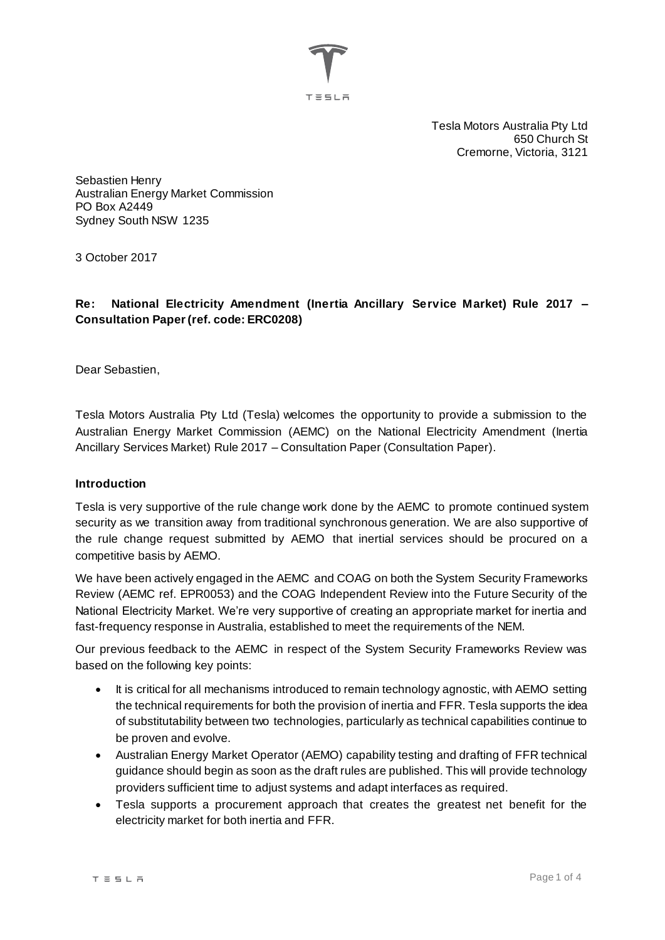

Tesla Motors Australia Pty Ltd 650 Church St Cremorne, Victoria, 3121

Sebastien Henry Australian Energy Market Commission PO Box A2449 Sydney South NSW 1235

3 October 2017

### **Re: National Electricity Amendment (Inertia Ancillary Service Market) Rule 2017 – Consultation Paper (ref. code: ERC0208)**

Dear Sebastien,

Tesla Motors Australia Pty Ltd (Tesla) welcomes the opportunity to provide a submission to the Australian Energy Market Commission (AEMC) on the National Electricity Amendment (Inertia Ancillary Services Market) Rule 2017 – Consultation Paper (Consultation Paper).

#### **Introduction**

Tesla is very supportive of the rule change work done by the AEMC to promote continued system security as we transition away from traditional synchronous generation. We are also supportive of the rule change request submitted by AEMO that inertial services should be procured on a competitive basis by AEMO.

We have been actively engaged in the AEMC and COAG on both the System Security Frameworks Review (AEMC ref. EPR0053) and the COAG Independent Review into the Future Security of the National Electricity Market. We're very supportive of creating an appropriate market for inertia and fast-frequency response in Australia, established to meet the requirements of the NEM.

Our previous feedback to the AEMC in respect of the System Security Frameworks Review was based on the following key points:

- It is critical for all mechanisms introduced to remain technology agnostic, with AEMO setting the technical requirements for both the provision of inertia and FFR. Tesla supports the idea of substitutability between two technologies, particularly as technical capabilities continue to be proven and evolve.
- Australian Energy Market Operator (AEMO) capability testing and drafting of FFR technical guidance should begin as soon as the draft rules are published. This will provide technology providers sufficient time to adjust systems and adapt interfaces as required.
- Tesla supports a procurement approach that creates the greatest net benefit for the electricity market for both inertia and FFR.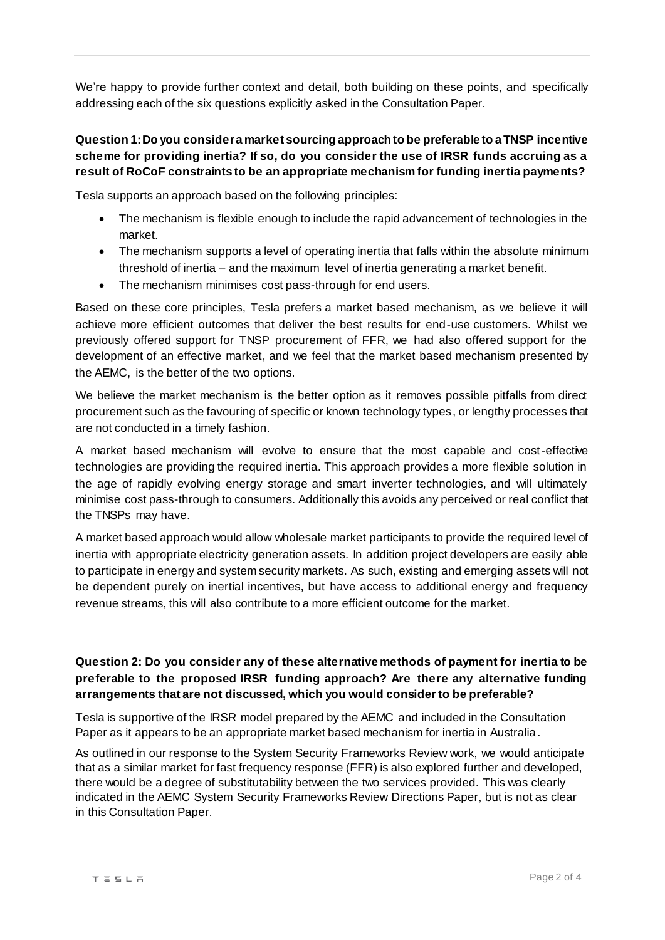We're happy to provide further context and detail, both building on these points, and specifically addressing each of the six questions explicitly asked in the Consultation Paper.

# **Question 1: Do you consider a market sourcing approach to be preferable to a TNSP incentive scheme for providing inertia? If so, do you consider the use of IRSR funds accruing as a result of RoCoF constraints to be an appropriate mechanism for funding inertia payments?**

Tesla supports an approach based on the following principles:

- The mechanism is flexible enough to include the rapid advancement of technologies in the market.
- The mechanism supports a level of operating inertia that falls within the absolute minimum threshold of inertia – and the maximum level of inertia generating a market benefit.
- The mechanism minimises cost pass-through for end users.

Based on these core principles, Tesla prefers a market based mechanism, as we believe it will achieve more efficient outcomes that deliver the best results for end-use customers. Whilst we previously offered support for TNSP procurement of FFR, we had also offered support for the development of an effective market, and we feel that the market based mechanism presented by the AEMC, is the better of the two options.

We believe the market mechanism is the better option as it removes possible pitfalls from direct procurement such as the favouring of specific or known technology types, or lengthy processes that are not conducted in a timely fashion.

A market based mechanism will evolve to ensure that the most capable and cost-effective technologies are providing the required inertia. This approach provides a more flexible solution in the age of rapidly evolving energy storage and smart inverter technologies, and will ultimately minimise cost pass-through to consumers. Additionally this avoids any perceived or real conflict that the TNSPs may have.

A market based approach would allow wholesale market participants to provide the required level of inertia with appropriate electricity generation assets. In addition project developers are easily able to participate in energy and system security markets. As such, existing and emerging assets will not be dependent purely on inertial incentives, but have access to additional energy and frequency revenue streams, this will also contribute to a more efficient outcome for the market.

# **Question 2: Do you consider any of these alternative methods of payment for inertia to be preferable to the proposed IRSR funding approach? Are there any alternative funding arrangements that are not discussed, which you would consider to be preferable?**

Tesla is supportive of the IRSR model prepared by the AEMC and included in the Consultation Paper as it appears to be an appropriate market based mechanism for inertia in Australia.

As outlined in our response to the System Security Frameworks Review work, we would anticipate that as a similar market for fast frequency response (FFR) is also explored further and developed, there would be a degree of substitutability between the two services provided. This was clearly indicated in the AEMC System Security Frameworks Review Directions Paper, but is not as clear in this Consultation Paper.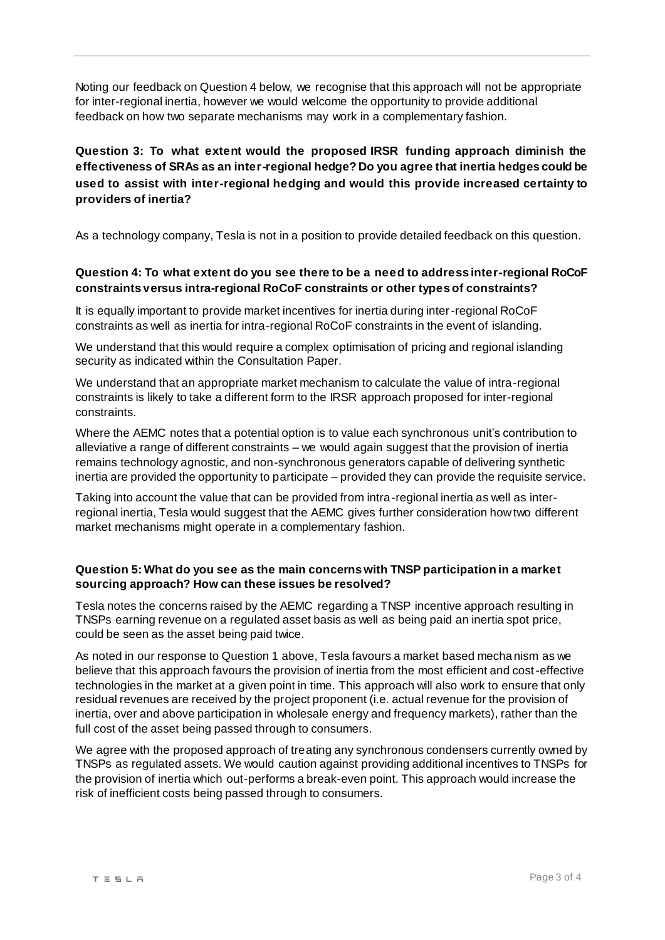Noting our feedback on Question 4 below, we recognise that this approach will not be appropriate for inter-regional inertia, however we would welcome the opportunity to provide additional feedback on how two separate mechanisms may work in a complementary fashion.

# **Question 3: To what extent would the proposed IRSR funding approach diminish the effectiveness of SRAs as an inter-regional hedge? Do you agree that inertia hedges could be used to assist with inter-regional hedging and would this provide increased certainty to providers of inertia?**

As a technology company, Tesla is not in a position to provide detailed feedback on this question.

### **Question 4: To what extent do you see there to be a need to address inter-regional RoCoF constraints versus intra-regional RoCoF constraints or other types of constraints?**

It is equally important to provide market incentives for inertia during inter-regional RoCoF constraints as well as inertia for intra-regional RoCoF constraints in the event of islanding.

We understand that this would require a complex optimisation of pricing and regional islanding security as indicated within the Consultation Paper.

We understand that an appropriate market mechanism to calculate the value of intra-regional constraints is likely to take a different form to the IRSR approach proposed for inter-regional constraints.

Where the AEMC notes that a potential option is to value each synchronous unit's contribution to alleviative a range of different constraints – we would again suggest that the provision of inertia remains technology agnostic, and non-synchronous generators capable of delivering synthetic inertia are provided the opportunity to participate – provided they can provide the requisite service.

Taking into account the value that can be provided from intra-regional inertia as well as interregional inertia, Tesla would suggest that the AEMC gives further consideration how two different market mechanisms might operate in a complementary fashion.

#### **Question 5: What do you see as the main concerns with TNSP participation in a market sourcing approach? How can these issues be resolved?**

Tesla notes the concerns raised by the AEMC regarding a TNSP incentive approach resulting in TNSPs earning revenue on a regulated asset basis as well as being paid an inertia spot price, could be seen as the asset being paid twice.

As noted in our response to Question 1 above, Tesla favours a market based mechanism as we believe that this approach favours the provision of inertia from the most efficient and cost-effective technologies in the market at a given point in time. This approach will also work to ensure that only residual revenues are received by the project proponent (i.e. actual revenue for the provision of inertia, over and above participation in wholesale energy and frequency markets), rather than the full cost of the asset being passed through to consumers.

We agree with the proposed approach of treating any synchronous condensers currently owned by TNSPs as regulated assets. We would caution against providing additional incentives to TNSPs for the provision of inertia which out-performs a break-even point. This approach would increase the risk of inefficient costs being passed through to consumers.